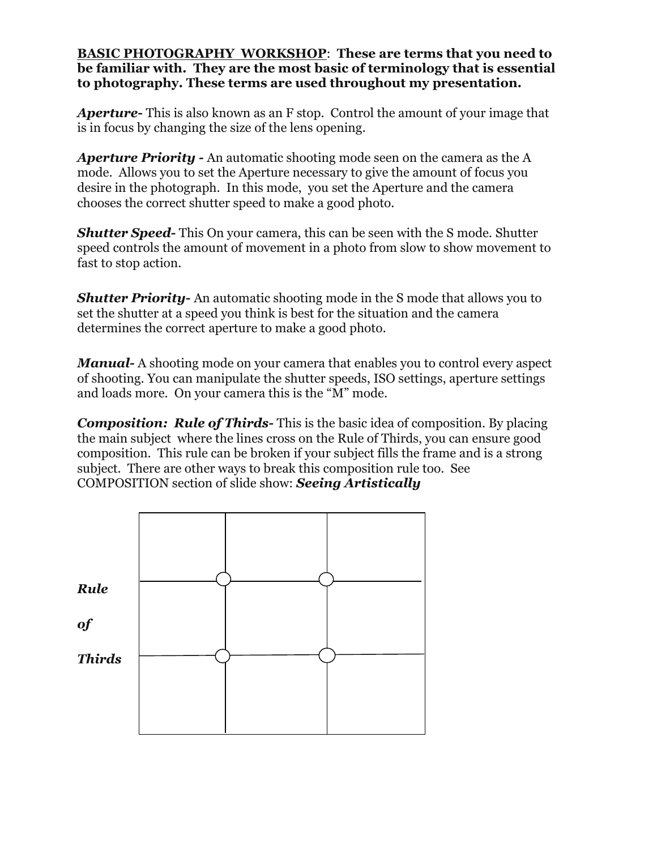## **BASIC PHOTOGRAPHY WORKSHOP**: **These are terms that you need to be familiar with. They are the most basic of terminology that is essential to photography. These terms are used throughout my presentation.**

*Aperture-* This is also known as an F stop. Control the amount of your image that is in focus by changing the size of the lens opening.

*Aperture Priority -* An automatic shooting mode seen on the camera as the A mode. Allows you to set the Aperture necessary to give the amount of focus you desire in the photograph. In this mode, you set the Aperture and the camera chooses the correct shutter speed to make a good photo.

*Shutter Speed-* This On your camera, this can be seen with the S mode. Shutter speed controls the amount of movement in a photo from slow to show movement to fast to stop action.

*Shutter Priority-* An automatic shooting mode in the S mode that allows you to set the shutter at a speed you think is best for the situation and the camera determines the correct aperture to make a good photo.

*Manual-* A shooting mode on your camera that enables you to control every aspect of shooting. You can manipulate the shutter speeds, ISO settings, aperture settings and loads more. On your camera this is the "M" mode.

*Composition: Rule of Thirds-* This is the basic idea of composition. By placing the main subject where the lines cross on the Rule of Thirds, you can ensure good composition. This rule can be broken if your subject fills the frame and is a strong subject. There are other ways to break this composition rule too. See COMPOSITION section of slide show: *Seeing Artistically*

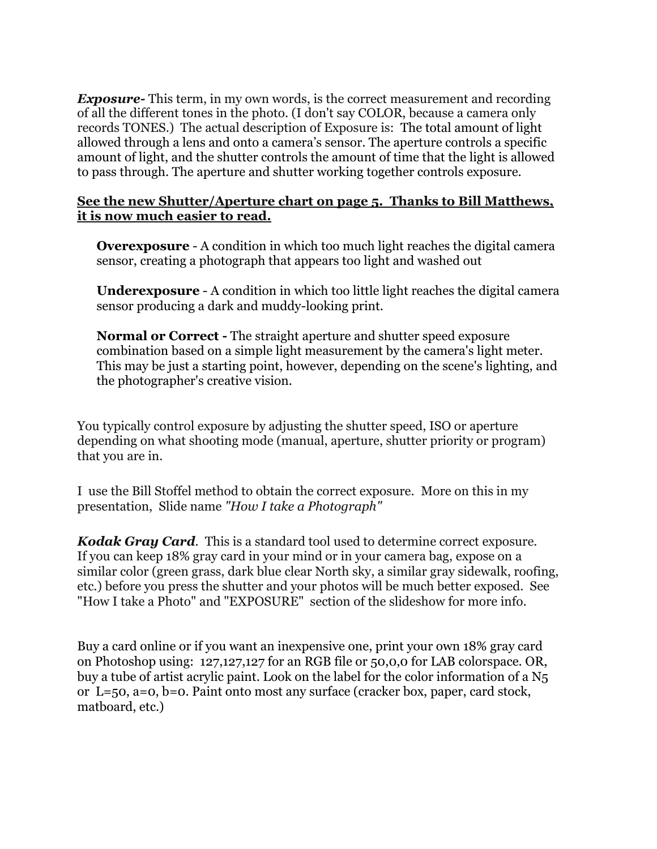*Exposure-* This term, in my own words, is the correct measurement and recording of all the different tones in the photo. (I don't say COLOR, because a camera only records TONES.) The actual description of Exposure is: The total amount of light allowed through a lens and onto a camera's sensor. The aperture controls a specific amount of light, and the shutter controls the amount of time that the light is allowed to pass through. The aperture and shutter working together controls exposure.

## **See the new Shutter/Aperture chart on page 5. Thanks to Bill Matthews, it is now much easier to read.**

**Overexposure** - A condition in which too much light reaches the digital camera sensor, creating a photograph that appears too light and washed out

**Underexposure** - A condition in which too little light reaches the digital camera sensor producing a dark and muddy-looking print.

**Normal or Correct -** The straight aperture and shutter speed exposure combination based on a simple light measurement by the camera's light meter. This may be just a starting point, however, depending on the scene's lighting, and the photographer's creative vision.

You typically control exposure by adjusting the shutter speed, ISO or aperture depending on what shooting mode (manual, aperture, shutter priority or program) that you are in.

I use the Bill Stoffel method to obtain the correct exposure. More on this in my presentation, Slide name *"How I take a Photograph"*

*Kodak Gray Card*. This is a standard tool used to determine correct exposure. If you can keep 18% gray card in your mind or in your camera bag, expose on a similar color (green grass, dark blue clear North sky, a similar gray sidewalk, roofing, etc.) before you press the shutter and your photos will be much better exposed. See "How I take a Photo" and "EXPOSURE" section of the slideshow for more info.

Buy a card online or if you want an inexpensive one, print your own 18% gray card on Photoshop using: 127,127,127 for an RGB file or 50,0,0 for LAB colorspace. OR, buy a tube of artist acrylic paint. Look on the label for the color information of a N5 or L=50, a=0, b=0. Paint onto most any surface (cracker box, paper, card stock, matboard, etc.)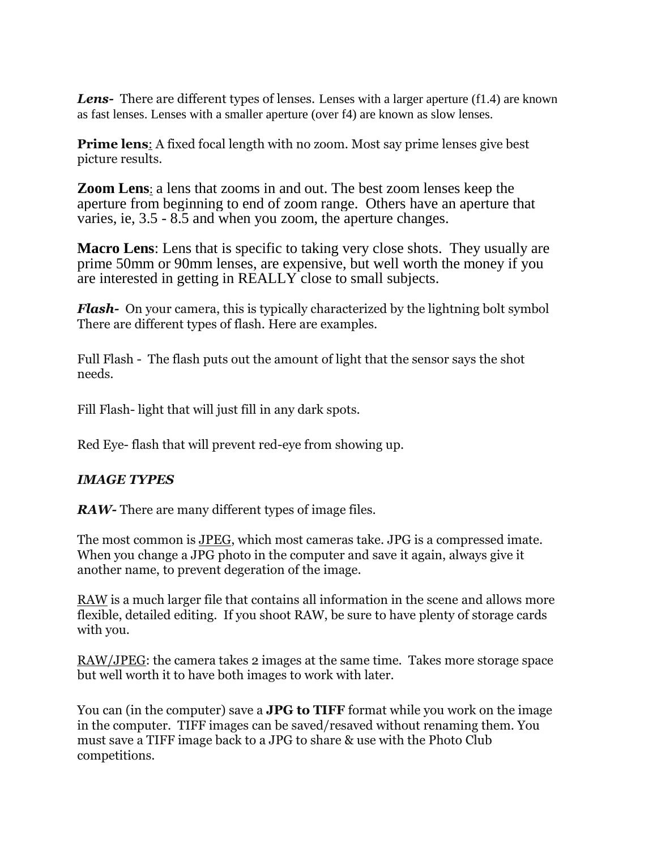**Lens-** There are different types of lenses. Lenses with a larger aperture (f1.4) are known as fast lenses. Lenses with a smaller aperture (over f4) are known as slow lenses.

**Prime lens**: A fixed focal length with no zoom. Most say prime lenses give best picture results.

**Zoom Lens**: a lens that zooms in and out. The best zoom lenses keep the aperture from beginning to end of zoom range. Others have an aperture that varies, ie, 3.5 - 8.5 and when you zoom, the aperture changes.

**Macro Lens**: Lens that is specific to taking very close shots. They usually are prime 50mm or 90mm lenses, are expensive, but well worth the money if you are interested in getting in REALLY close to small subjects.

*Flash-* On your camera, this is typically characterized by the lightning bolt symbol There are different types of flash. Here are examples.

Full Flash - The flash puts out the amount of light that the sensor says the shot needs.

Fill Flash- light that will just fill in any dark spots.

Red Eye- flash that will prevent red-eye from showing up.

## *IMAGE TYPES*

*RAW*- There are many different types of image files.

The most common is JPEG, which most cameras take. JPG is a compressed imate. When you change a JPG photo in the computer and save it again, always give it another name, to prevent degeration of the image.

RAW is a much larger file that contains all information in the scene and allows more flexible, detailed editing. If you shoot RAW, be sure to have plenty of storage cards with you.

RAW/JPEG: the camera takes 2 images at the same time. Takes more storage space but well worth it to have both images to work with later.

You can (in the computer) save a **JPG to TIFF** format while you work on the image in the computer. TIFF images can be saved/resaved without renaming them. You must save a TIFF image back to a JPG to share & use with the Photo Club competitions.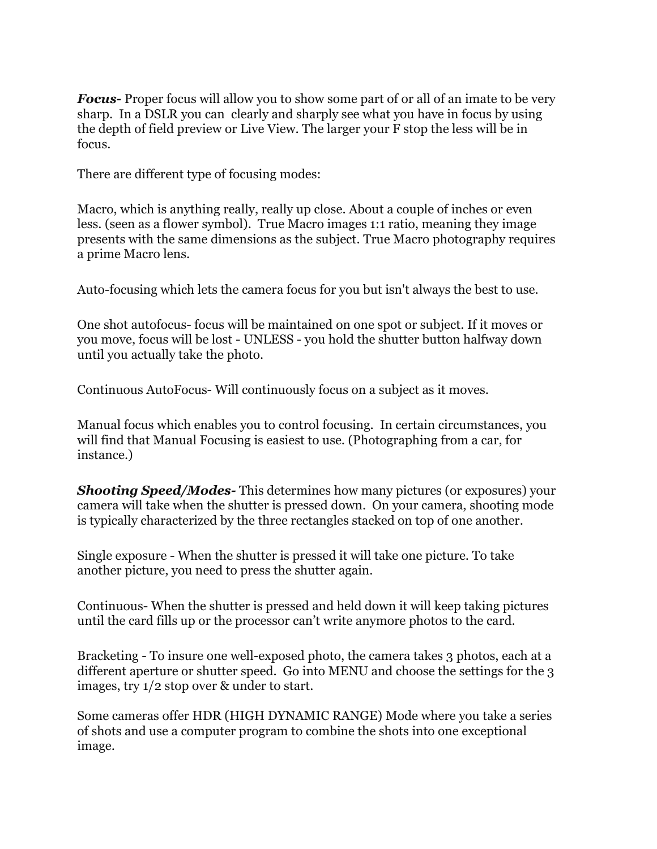*Focus-* Proper focus will allow you to show some part of or all of an imate to be very sharp. In a DSLR you can clearly and sharply see what you have in focus by using the depth of field preview or Live View. The larger your F stop the less will be in focus.

There are different type of focusing modes:

Macro, which is anything really, really up close. About a couple of inches or even less. (seen as a flower symbol). True Macro images 1:1 ratio, meaning they image presents with the same dimensions as the subject. True Macro photography requires a prime Macro lens.

Auto-focusing which lets the camera focus for you but isn't always the best to use.

One shot autofocus- focus will be maintained on one spot or subject. If it moves or you move, focus will be lost - UNLESS - you hold the shutter button halfway down until you actually take the photo.

Continuous AutoFocus- Will continuously focus on a subject as it moves.

Manual focus which enables you to control focusing. In certain circumstances, you will find that Manual Focusing is easiest to use. (Photographing from a car, for instance.)

*Shooting Speed/Modes-* This determines how many pictures (or exposures) your camera will take when the shutter is pressed down. On your camera, shooting mode is typically characterized by the three rectangles stacked on top of one another.

Single exposure - When the shutter is pressed it will take one picture. To take another picture, you need to press the shutter again.

Continuous- When the shutter is pressed and held down it will keep taking pictures until the card fills up or the processor can't write anymore photos to the card.

Bracketing - To insure one well-exposed photo, the camera takes 3 photos, each at a different aperture or shutter speed. Go into MENU and choose the settings for the 3 images, try 1/2 stop over & under to start.

Some cameras offer HDR (HIGH DYNAMIC RANGE) Mode where you take a series of shots and use a computer program to combine the shots into one exceptional image.